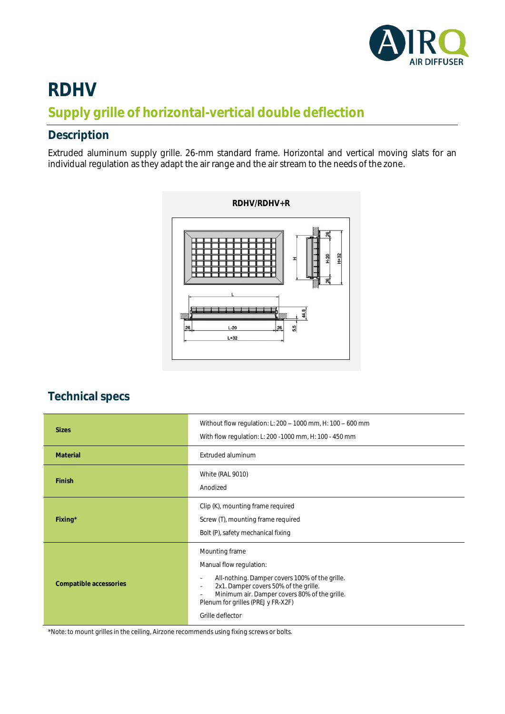

## **RDHV Supply grille of horizontal-vertical double deflection**

## **Description**

Extruded aluminum supply grille. 26-mm standard frame. Horizontal and vertical moving slats for an individual regulation as they adapt the air range and the air stream to the needs of the zone.



## **Technical specs**

| <b>Sizes</b>           | Without flow regulation: L: 200 - 1000 mm, H: 100 - 600 mm<br>With flow regulation: L: 200 - 1000 mm, H: 100 - 450 mm                                                                                                                           |  |  |  |  |  |
|------------------------|-------------------------------------------------------------------------------------------------------------------------------------------------------------------------------------------------------------------------------------------------|--|--|--|--|--|
| Material               | Extruded aluminum                                                                                                                                                                                                                               |  |  |  |  |  |
| Finish                 | <b>White (RAL 9010)</b><br>Anodized                                                                                                                                                                                                             |  |  |  |  |  |
| Fixing*                | Clip (K), mounting frame required<br>Screw (T), mounting frame required<br>Bolt (P), safety mechanical fixing                                                                                                                                   |  |  |  |  |  |
| Compatible accessories | Mounting frame<br>Manual flow regulation:<br>All-nothing. Damper covers 100% of the grille.<br>2x1. Damper covers 50% of the grille.<br>Minimum air. Damper covers 80% of the grille.<br>Plenum for grilles (PREJ y FR-X2F)<br>Grille deflector |  |  |  |  |  |

\*Note: to mount grilles in the ceiling, Airzone recommends using fixing screws or bolts.